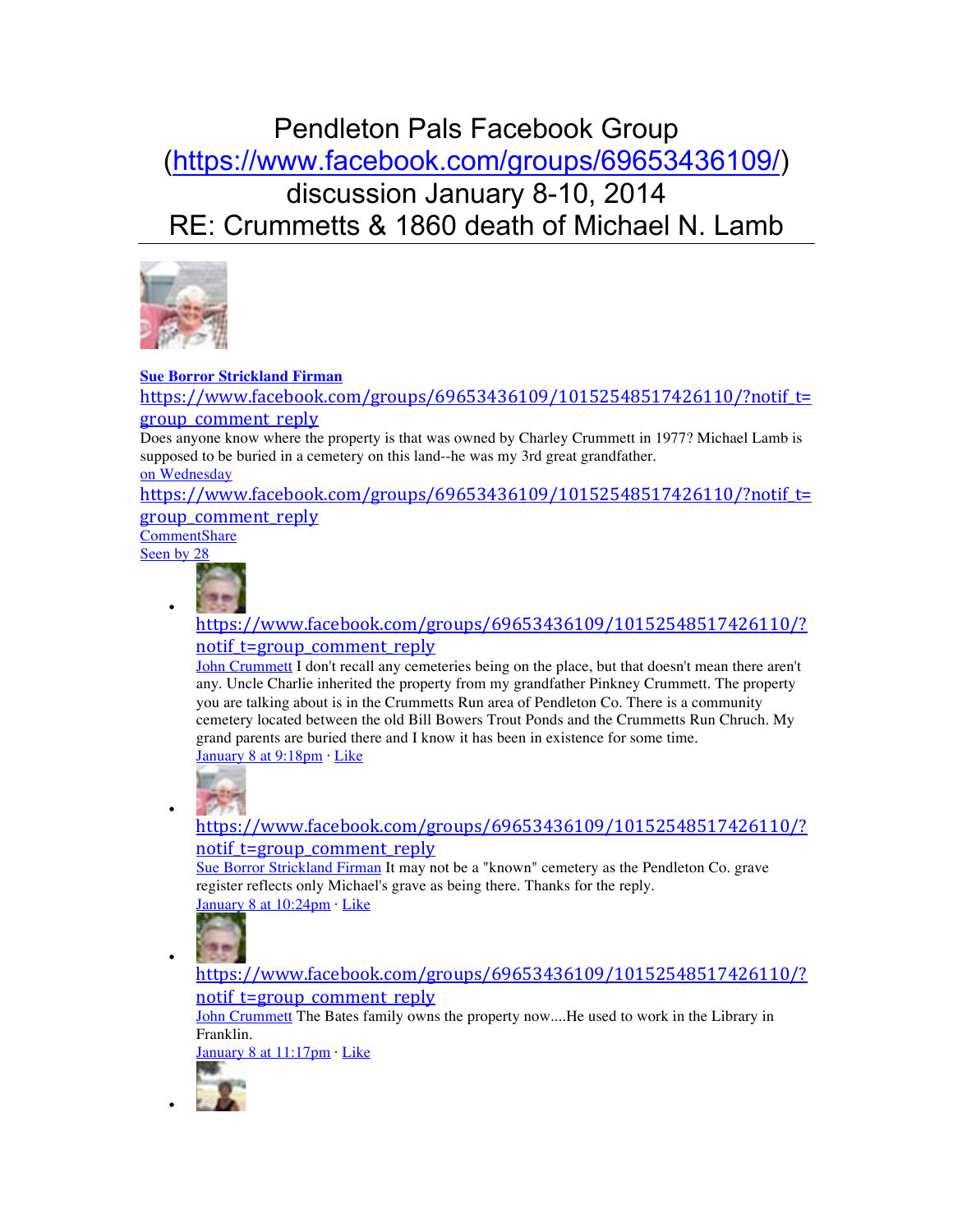# Pendleton Pals Facebook Group (https://www.facebook.com/groups/69653436109/) discussion January 8-10, 2014 RE: Crummetts & 1860 death of Michael N. Lamb



#### **Sue Borror Strickland Firman**

https://www.facebook.com/groups/69653436109/10152548517426110/?notif t= group\_comment\_reply

Does anyone know where the property is that was owned by Charley Crummett in 1977? Michael Lamb is supposed to be buried in a cemetery on this land--he was my 3rd great grandfather.

on Wednesday

https://www.facebook.com/groups/69653436109/10152548517426110/?notif\_t= group\_comment\_reply

**CommentShare** Seen by 28

•

•

•

•



https://www.facebook.com/groups/69653436109/10152548517426110/? notif t=group comment reply

John Crummett I don't recall any cemeteries being on the place, but that doesn't mean there aren't any. Uncle Charlie inherited the property from my grandfather Pinkney Crummett. The property you are talking about is in the Crummetts Run area of Pendleton Co. There is a community cemetery located between the old Bill Bowers Trout Ponds and the Crummetts Run Chruch. My grand parents are buried there and I know it has been in existence for some time. January 8 at 9:18pm · Like



https://www.facebook.com/groups/69653436109/10152548517426110/? notif t=group comment reply

Sue Borror Strickland Firman It may not be a "known" cemetery as the Pendleton Co. grave register reflects only Michael's grave as being there. Thanks for the reply. January 8 at 10:24pm · Like



https://www.facebook.com/groups/69653436109/10152548517426110/? notif t=group comment reply

John Crummett The Bates family owns the property now....He used to work in the Library in Franklin.

January 8 at 11:17pm · Like

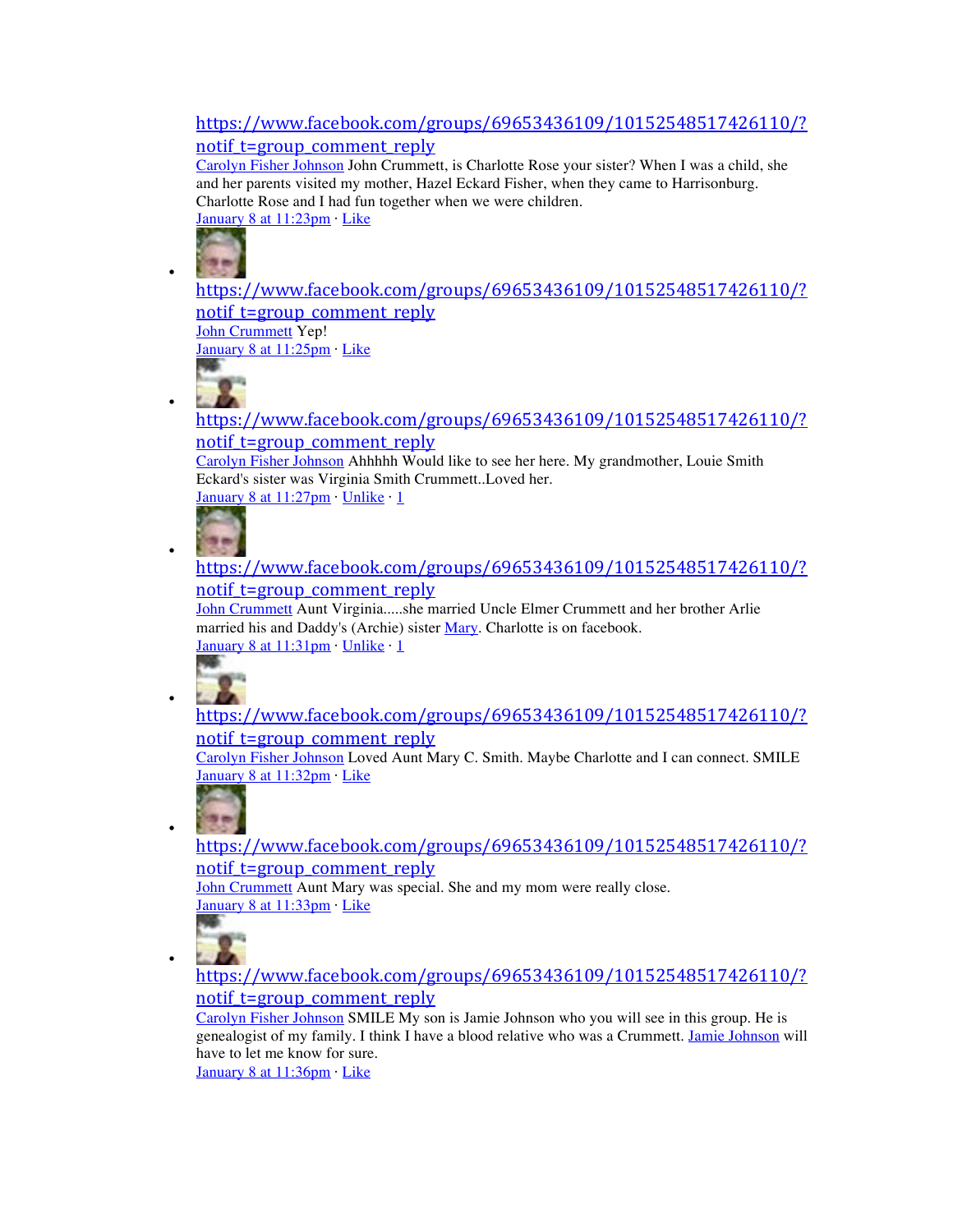# https://www.facebook.com/groups/69653436109/10152548517426110/? notif t=group\_comment\_reply

Carolyn Fisher Johnson John Crummett, is Charlotte Rose your sister? When I was a child, she and her parents visited my mother, Hazel Eckard Fisher, when they came to Harrisonburg. Charlotte Rose and I had fun together when we were children. January 8 at 11:23pm · Like



•

•

•

•

•

•

https://www.facebook.com/groups/69653436109/10152548517426110/? notif t=group comment reply John Crummett Yep!

January 8 at 11:25pm · Like

https://www.facebook.com/groups/69653436109/10152548517426110/? notif t=group comment reply

Carolyn Fisher Johnson Ahhhhh Would like to see her here. My grandmother, Louie Smith Eckard's sister was Virginia Smith Crummett..Loved her. January 8 at 11:27pm · Unlike · 1



# https://www.facebook.com/groups/69653436109/10152548517426110/? notif t=group comment reply

John Crummett Aunt Virginia.....she married Uncle Elmer Crummett and her brother Arlie married his and Daddy's (Archie) sister Mary. Charlotte is on facebook. January 8 at 11:31pm · Unlike · 1



https://www.facebook.com/groups/69653436109/10152548517426110/? notif t=group comment reply

Carolyn Fisher Johnson Loved Aunt Mary C. Smith. Maybe Charlotte and I can connect. SMILE January 8 at 11:32pm · Like



https://www.facebook.com/groups/69653436109/10152548517426110/? notif t=group comment reply

John Crummett Aunt Mary was special. She and my mom were really close. January 8 at 11:33pm · Like



https://www.facebook.com/groups/69653436109/10152548517426110/? notif t=group comment reply

Carolyn Fisher Johnson SMILE My son is Jamie Johnson who you will see in this group. He is genealogist of my family. I think I have a blood relative who was a Crummett. Jamie Johnson will have to let me know for sure.

January 8 at 11:36pm · Like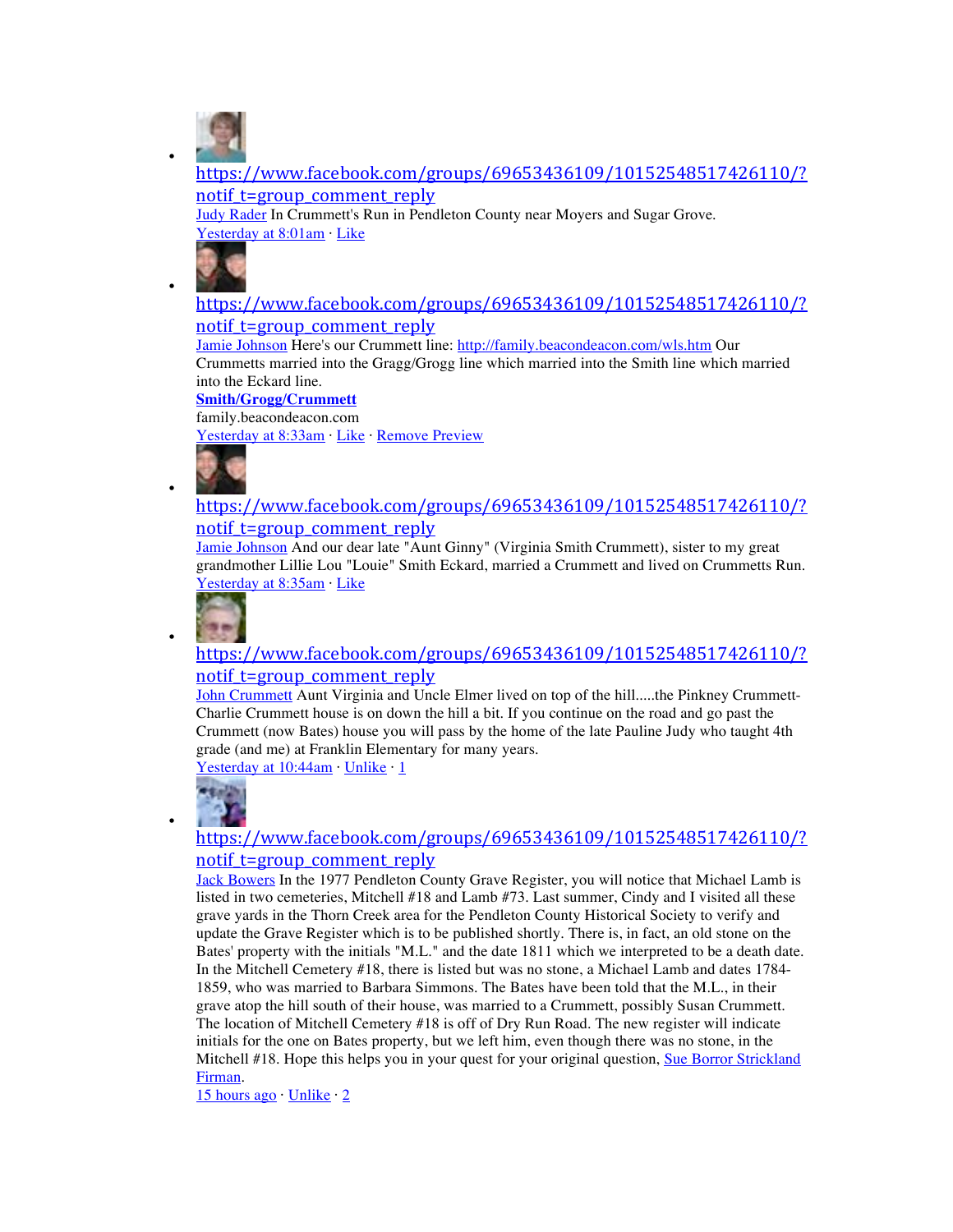

•

•

•

•

•

https://www.facebook.com/groups/69653436109/10152548517426110/? notif t=group comment reply

Judy Rader In Crummett's Run in Pendleton County near Moyers and Sugar Grove. Yesterday at 8:01am · Like



# https://www.facebook.com/groups/69653436109/10152548517426110/? notif t=group\_comment\_reply

Jamie Johnson Here's our Crummett line: http://family.beacondeacon.com/wls.htm Our Crummetts married into the Gragg/Grogg line which married into the Smith line which married into the Eckard line.

#### **Smith/Grogg/Crummett**

family.beacondeacon.com

Yesterday at 8:33am · Like · Remove Preview



#### https://www.facebook.com/groups/69653436109/10152548517426110/? notif t=group comment reply

Jamie Johnson And our dear late "Aunt Ginny" (Virginia Smith Crummett), sister to my great grandmother Lillie Lou "Louie" Smith Eckard, married a Crummett and lived on Crummetts Run. Yesterday at 8:35am · Like



#### https://www.facebook.com/groups/69653436109/10152548517426110/? notif t=group comment reply

John Crummett Aunt Virginia and Uncle Elmer lived on top of the hill.....the Pinkney Crummett-Charlie Crummett house is on down the hill a bit. If you continue on the road and go past the Crummett (now Bates) house you will pass by the home of the late Pauline Judy who taught 4th grade (and me) at Franklin Elementary for many years.

Yesterday at 10:44am · Unlike · 1



# https://www.facebook.com/groups/69653436109/10152548517426110/? notif t=group comment reply

Jack Bowers In the 1977 Pendleton County Grave Register, you will notice that Michael Lamb is listed in two cemeteries, Mitchell #18 and Lamb #73. Last summer, Cindy and I visited all these grave yards in the Thorn Creek area for the Pendleton County Historical Society to verify and update the Grave Register which is to be published shortly. There is, in fact, an old stone on the Bates' property with the initials "M.L." and the date 1811 which we interpreted to be a death date. In the Mitchell Cemetery #18, there is listed but was no stone, a Michael Lamb and dates 1784- 1859, who was married to Barbara Simmons. The Bates have been told that the M.L., in their grave atop the hill south of their house, was married to a Crummett, possibly Susan Crummett. The location of Mitchell Cemetery #18 is off of Dry Run Road. The new register will indicate initials for the one on Bates property, but we left him, even though there was no stone, in the Mitchell #18. Hope this helps you in your quest for your original question, Sue Borror Strickland Firman.

15 hours ago Unlike 2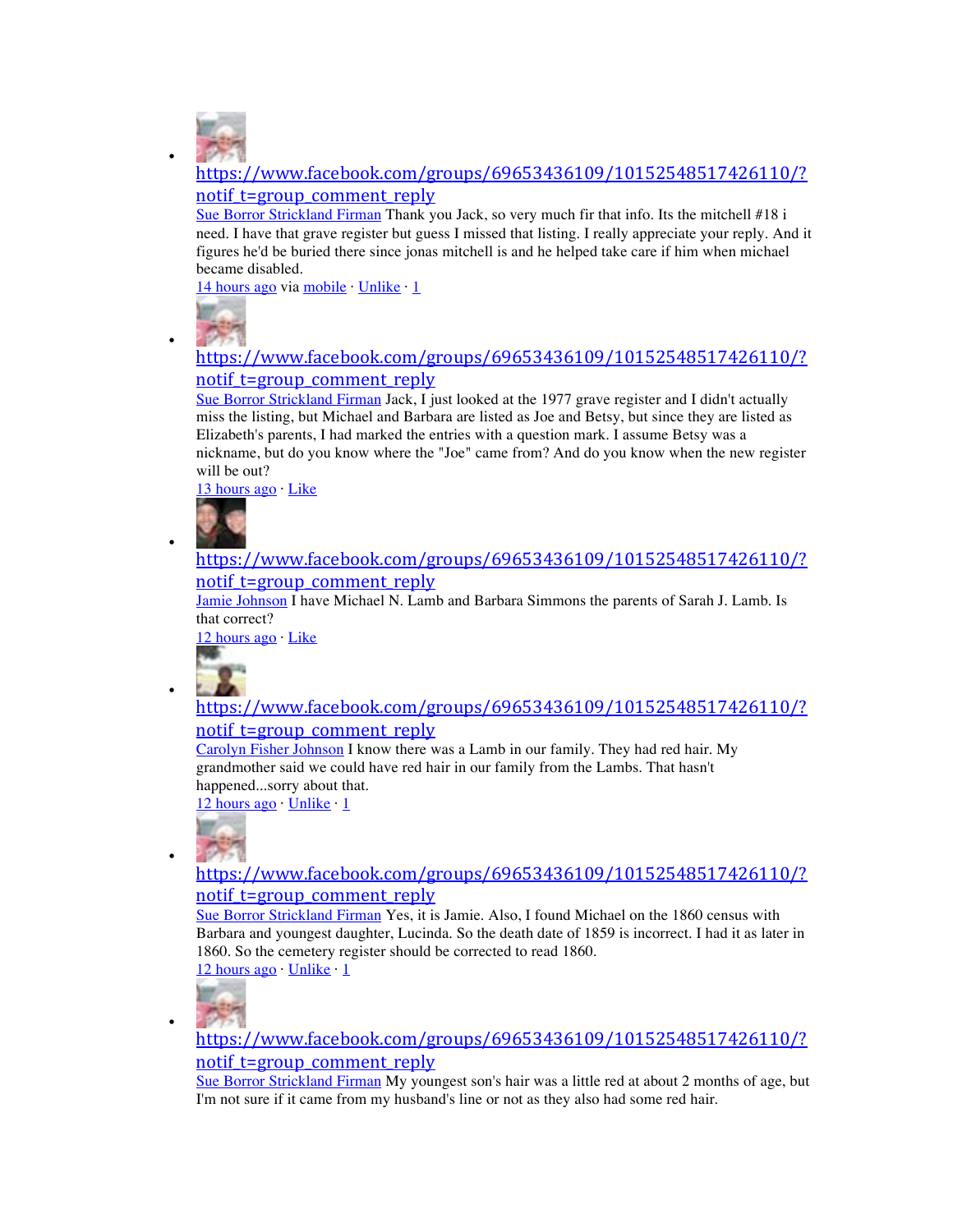

•

•

•

•

•

https://www.facebook.com/groups/69653436109/10152548517426110/? notif t=group comment reply

Sue Borror Strickland Firman Thank you Jack, so very much fir that info. Its the mitchell #18 i need. I have that grave register but guess I missed that listing. I really appreciate your reply. And it figures he'd be buried there since jonas mitchell is and he helped take care if him when michael became disabled.

14 hours ago via mobile · Unlike · 1



# https://www.facebook.com/groups/69653436109/10152548517426110/? notif t=group\_comment\_reply

Sue Borror Strickland Firman Jack, I just looked at the 1977 grave register and I didn't actually miss the listing, but Michael and Barbara are listed as Joe and Betsy, but since they are listed as Elizabeth's parents, I had marked the entries with a question mark. I assume Betsy was a nickname, but do you know where the "Joe" came from? And do you know when the new register will be out?

13 hours ago · Like



#### https://www.facebook.com/groups/69653436109/10152548517426110/? notif t=group\_comment\_reply

Jamie Johnson I have Michael N. Lamb and Barbara Simmons the parents of Sarah J. Lamb. Is that correct?

12 hours ago · Like

### https://www.facebook.com/groups/69653436109/10152548517426110/? notif t=group comment reply

Carolyn Fisher Johnson I know there was a Lamb in our family. They had red hair. My grandmother said we could have red hair in our family from the Lambs. That hasn't happened...sorry about that.

12 hours ago Unlike 1



https://www.facebook.com/groups/69653436109/10152548517426110/? notif t=group comment reply

Sue Borror Strickland Firman Yes, it is Jamie. Also, I found Michael on the 1860 census with Barbara and youngest daughter, Lucinda. So the death date of 1859 is incorrect. I had it as later in 1860. So the cemetery register should be corrected to read 1860.

 $12$  hours ago Unlike  $\cdot$  1



https://www.facebook.com/groups/69653436109/10152548517426110/? notif\_t=group\_comment\_reply

Sue Borror Strickland Firman My youngest son's hair was a little red at about 2 months of age, but I'm not sure if it came from my husband's line or not as they also had some red hair.